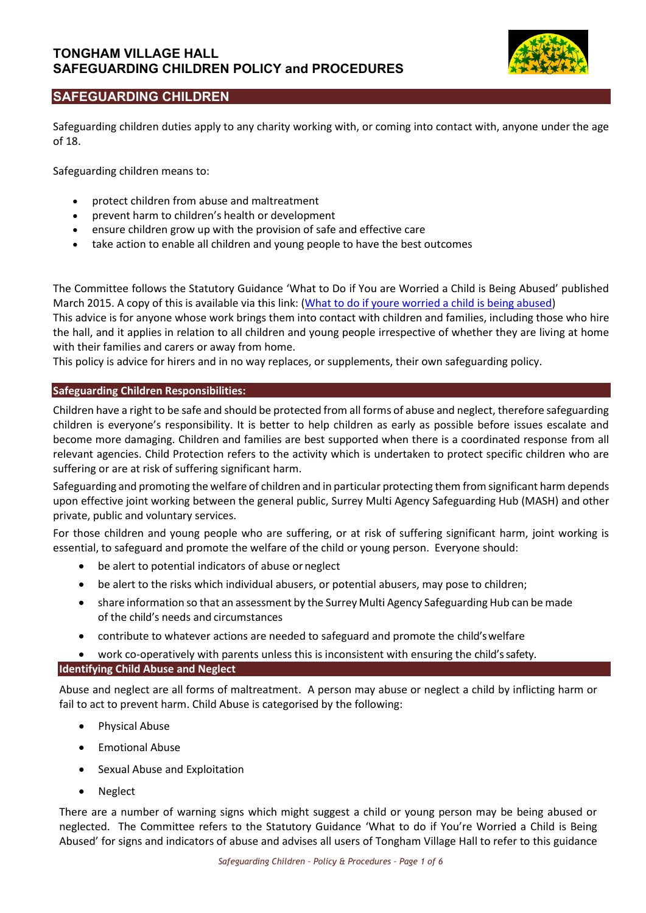

# **SAFEGUARDING CHILDREN**

Safeguarding children duties apply to any charity working with, or coming into contact with, anyone under the age of 18.

Safeguarding children means to:

- protect children from abuse and maltreatment
- prevent harm to children's health or development
- ensure children grow up with the provision of safe and effective care
- take action to enable all children and young people to have the best outcomes

The Committee follows the Statutory Guidance 'What to Do if You are Worried a Child is Being Abused' published March 2015. A copy of this is available via this link: (What to do if youre [worried a child is being abused\)](https://www.gov.uk/government/publications/what-to-do-if-youre-worried-a-child-is-being-abused--2)

This advice is for anyone whose work brings them into contact with children and families, including those who hire the hall, and it applies in relation to all children and young people irrespective of whether they are living at home with their families and carers or away from home.

This policy is advice for hirers and in no way replaces, or supplements, their own safeguarding policy.

## **Safeguarding Children Responsibilities:**

Children have a right to be safe and should be protected from all forms of abuse and neglect, therefore safeguarding children is everyone's responsibility. It is better to help children as early as possible before issues escalate and become more damaging. Children and families are best supported when there is a coordinated response from all relevant agencies. Child Protection refers to the activity which is undertaken to protect specific children who are suffering or are at risk of suffering significant harm.

Safeguarding and promoting the welfare of children and in particular protecting them from significant harm depends upon effective joint working between the general public, Surrey Multi Agency Safeguarding Hub (MASH) and other private, public and voluntary services.

For those children and young people who are suffering, or at risk of suffering significant harm, joint working is essential, to safeguard and promote the welfare of the child or young person. Everyone should:

- be alert to potential indicators of abuse or neglect
- be alert to the risks which individual abusers, or potential abusers, may pose to children;
- share information so that an assessment by the Surrey Multi Agency Safeguarding Hub can be made of the child's needs and circumstances
- contribute to whatever actions are needed to safeguard and promote the child'swelfare

work co-operatively with parents unless this is inconsistent with ensuring the child's safety.

## **Identifying Child Abuse and Neglect**

Abuse and neglect are all forms of maltreatment. A person may abuse or neglect a child by inflicting harm or fail to act to prevent harm. Child Abuse is categorised by the following:

- Physical Abuse
- Emotional Abuse
- Sexual Abuse and Exploitation
- **Neglect**

There are a number of warning signs which might suggest a child or young person may be being abused or neglected. The Committee refers to the Statutory Guidance 'What to do if You're Worried a Child is Being Abused' for signs and indicators of abuse and advises all users of Tongham Village Hall to refer to this guidance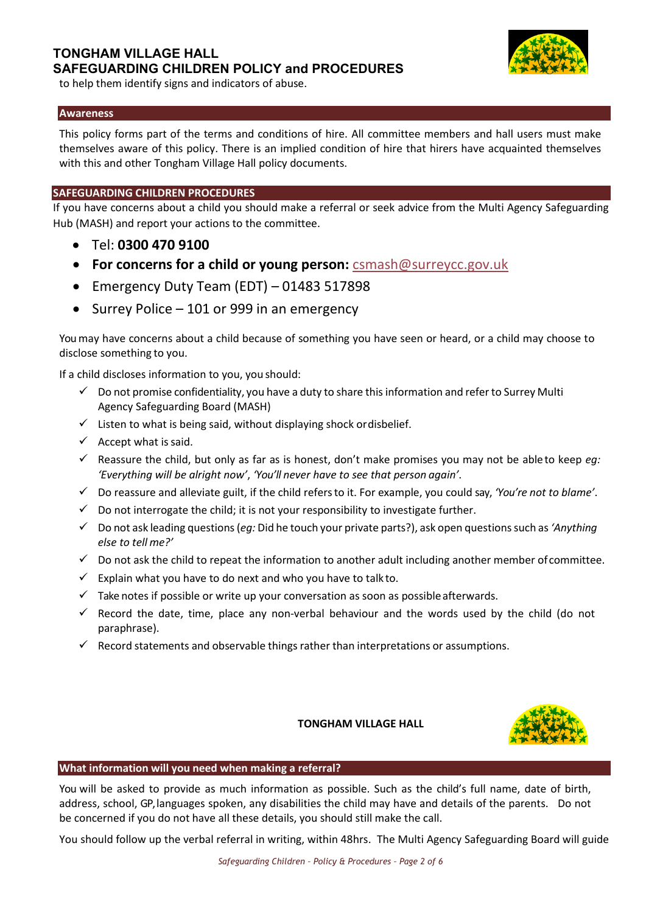

to help them identify signs and indicators of abuse.

### **Awareness**

This policy forms part of the terms and conditions of hire. All committee members and hall users must make themselves aware of this policy. There is an implied condition of hire that hirers have acquainted themselves with this and other Tongham Village Hall policy documents.

### **SAFEGUARDING CHILDREN PROCEDURES**

If you have concerns about a child you should make a referral or seek advice from the Multi Agency Safeguarding Hub (MASH) and report your actions to the committee.

- Tel: **0300 470 9100**
- **For concerns for a child or young person:** [csmash@surreycc.gov.uk](mailto:csmash@surreycc.gov.uk)
- Emergency Duty Team (EDT) 01483 517898
- Surrey Police 101 or 999 in an emergency

You may have concerns about a child because of something you have seen or heard, or a child may choose to disclose something to you.

If a child discloses information to you, you should:

- $\checkmark$  Do not promise confidentiality, you have a duty to share this information and refer to Surrey Multi Agency Safeguarding Board (MASH)
- $\checkmark$  Listen to what is being said, without displaying shock ordisbelief.
- $\checkmark$  Accept what is said.
- $\checkmark$  Reassure the child, but only as far as is honest, don't make promises you may not be ableto keep *eg*: *'Everything will be alright now'*, *'You'll never have to see that person again'*.
- ✓ Do reassure and alleviate guilt, if the child refersto it. For example, you could say, *'You're not to blame'*.
- $\checkmark$  Do not interrogate the child; it is not your responsibility to investigate further.
- ✓ Do not ask leading questions (*eg:* Did he touch your private parts?), ask open questions such as *'Anything else to tell me?'*
- $\checkmark$  Do not ask the child to repeat the information to another adult including another member of committee.
- $\checkmark$  Explain what you have to do next and who you have to talk to.
- $\checkmark$  Take notes if possible or write up your conversation as soon as possible afterwards.
- $\checkmark$  Record the date, time, place any non-verbal behaviour and the words used by the child (do not paraphrase).
- $\checkmark$  Record statements and observable things rather than interpretations or assumptions.

### **TONGHAM VILLAGE HALL**



### **What information will you need when making a referral?**

You will be asked to provide as much information as possible. Such as the child's full name, date of birth, address, school, GP, languages spoken, any disabilities the child may have and details of the parents. Do not be concerned if you do not have all these details, you should still make the call.

You should follow up the verbal referral in writing, within 48hrs. The Multi Agency Safeguarding Board will guide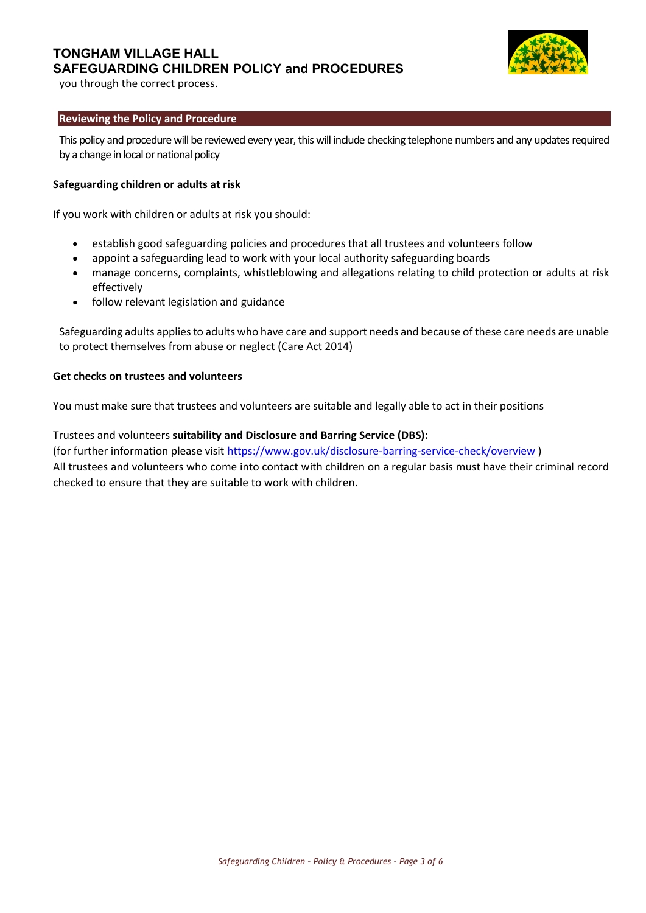# **TONGHAM VILLAGE HALL SAFEGUARDING CHILDREN POLICY and PROCEDURES**



you through the correct process.

## **Reviewing the Policy and Procedure**

This policy and procedure will be reviewed every year, this will include checking telephone numbers and any updates required by a change in local or national policy

### **Safeguarding children or adults at risk**

If you work with children or adults at risk you should:

- establish good safeguarding policies and procedures that all trustees and volunteers follow
- appoint a safeguarding lead to work with your local authority safeguarding boards
- manage concerns, complaints, whistleblowing and allegations relating to child protection or adults at risk effectively
- follow relevant legislation and guidance

Safeguarding adults applies to adults who have care and support needs and because of these care needs are unable to protect themselves from abuse or neglect (Care Act 2014)

### **Get checks on trustees and volunteers**

You must make sure that trustees and volunteers are suitable and legally able to act in their positions

Trustees and volunteers **suitability and Disclosure and Barring Service (DBS):** (for further information please visit<https://www.gov.uk/disclosure-barring-service-check/overview> ) All trustees and volunteers who come into contact with children on a regular basis must have their criminal record checked to ensure that they are suitable to work with children.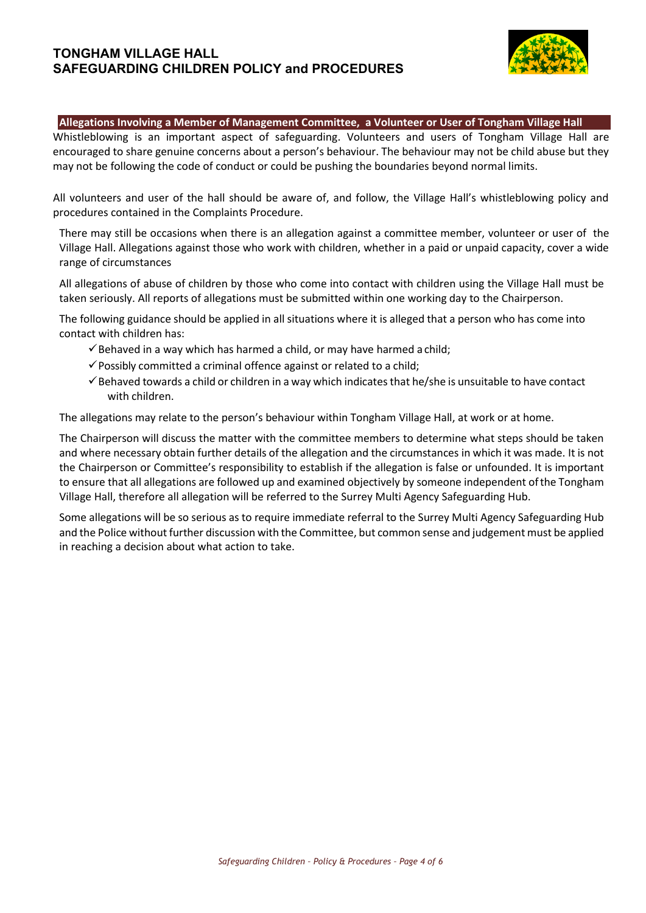## **TONGHAM VILLAGE HALL SAFEGUARDING CHILDREN POLICY and PROCEDURES**



#### **Allegations Involving a Member of Management Committee, a Volunteer or User of Tongham Village Hall**

Whistleblowing is an important aspect of safeguarding. Volunteers and users of Tongham Village Hall are encouraged to share genuine concerns about a person's behaviour. The behaviour may not be child abuse but they may not be following the code of conduct or could be pushing the boundaries beyond normal limits.

All volunteers and user of the hall should be aware of, and follow, the Village Hall's whistleblowing policy and procedures contained in the Complaints Procedure.

There may still be occasions when there is an allegation against a committee member, volunteer or user of the Village Hall. Allegations against those who work with children, whether in a paid or unpaid capacity, cover a wide range of circumstances

All allegations of abuse of children by those who come into contact with children using the Village Hall must be taken seriously. All reports of allegations must be submitted within one working day to the Chairperson.

The following guidance should be applied in all situations where it is alleged that a person who has come into contact with children has:

- $\checkmark$  Behaved in a way which has harmed a child, or may have harmed a child;
- $\checkmark$  Possibly committed a criminal offence against or related to a child;
- $\checkmark$  Behaved towards a child or children in a way which indicates that he/she is unsuitable to have contact with children.

The allegations may relate to the person's behaviour within Tongham Village Hall, at work or at home.

The Chairperson will discuss the matter with the committee members to determine what steps should be taken and where necessary obtain further details of the allegation and the circumstances in which it was made. It is not the Chairperson or Committee's responsibility to establish if the allegation is false or unfounded. It is important to ensure that all allegations are followed up and examined objectively by someone independent ofthe Tongham Village Hall, therefore all allegation will be referred to the Surrey Multi Agency Safeguarding Hub.

Some allegations will be so serious as to require immediate referral to the Surrey Multi Agency Safeguarding Hub and the Police without further discussion with the Committee, but common sense and judgement must be applied in reaching a decision about what action to take.